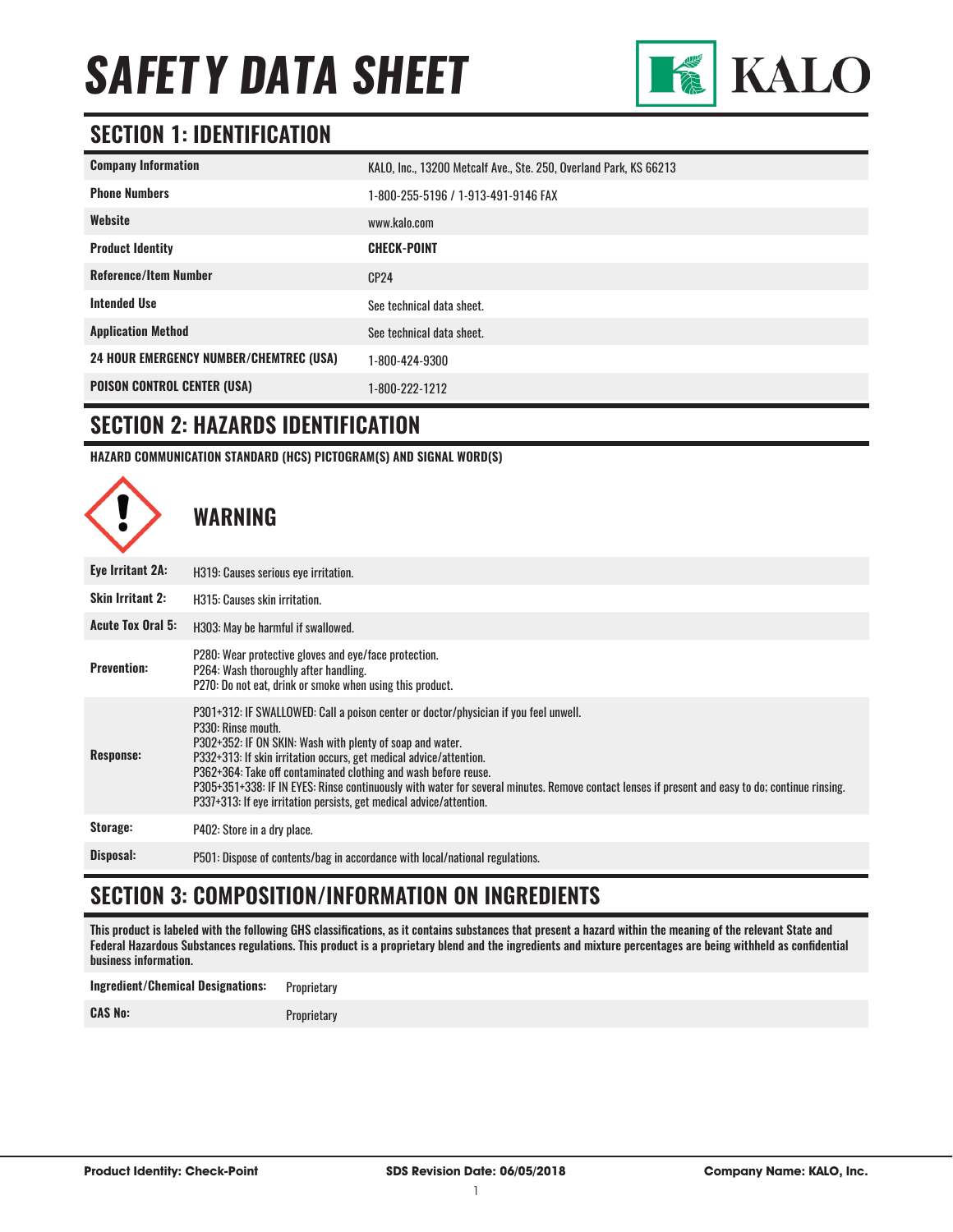

### **SECTION 1: IDENTIFICATION**

| <b>Company Information</b>                     | KALO, Inc., 13200 Metcalf Ave., Ste. 250, Overland Park, KS 66213 |
|------------------------------------------------|-------------------------------------------------------------------|
| <b>Phone Numbers</b>                           | 1-800-255-5196 / 1-913-491-9146 FAX                               |
| Website                                        | www.kalo.com                                                      |
| <b>Product Identity</b>                        | <b>CHECK-POINT</b>                                                |
| <b>Reference/Item Number</b>                   | CP24                                                              |
| <b>Intended Use</b>                            | See technical data sheet.                                         |
| <b>Application Method</b>                      | See technical data sheet.                                         |
| <b>24 HOUR EMERGENCY NUMBER/CHEMTREC (USA)</b> | 1-800-424-9300                                                    |
| <b>POISON CONTROL CENTER (USA)</b>             | 1-800-222-1212                                                    |

#### **SECTION 2: HAZARDS IDENTIFICATION**

**HAZARD COMMUNICATION STANDARD (HCS) PICTOGRAM(S) AND SIGNAL WORD(S)**



# **SECTION 3: COMPOSITION/INFORMATION ON INGREDIENTS**

This product is labeled with the following GHS classifications, as it contains substances that present a hazard within the meaning of the relevant State and Federal Hazardous Substances regulations. This product is a proprietary blend and the ingredients and mixture percentages are being withheld as confidential business information.

| <b>Ingredient/Chemical Designations:</b> | Proprietary |
|------------------------------------------|-------------|
| <b>CAS No:</b>                           | Proprietary |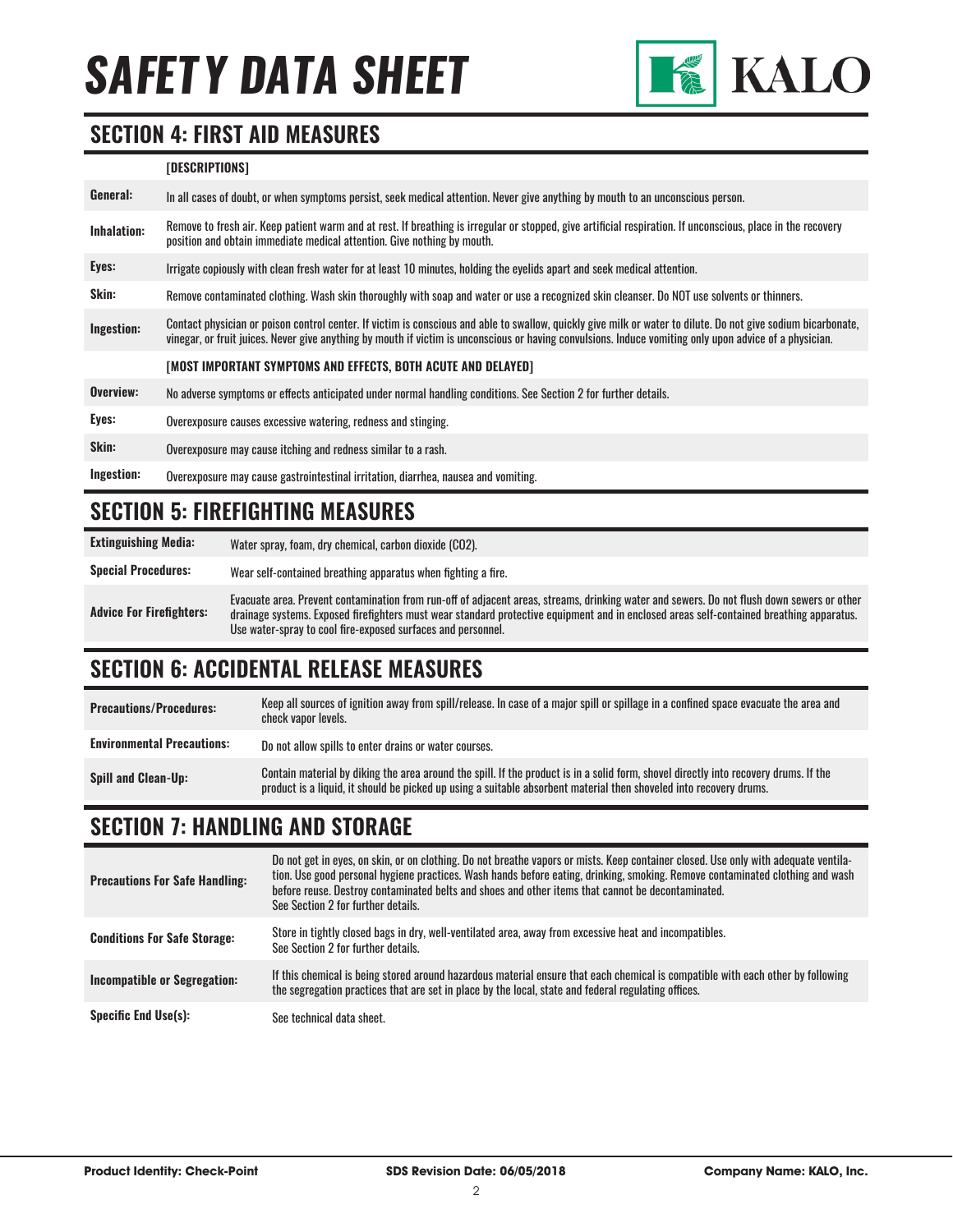

#### **SECTION 4: FIRST AID MEASURES**

#### **[DESCRIPTIONS]**

| General:    | In all cases of doubt, or when symptoms persist, seek medical attention. Never give anything by mouth to an unconscious person.                                                                                                                                                                                          |
|-------------|--------------------------------------------------------------------------------------------------------------------------------------------------------------------------------------------------------------------------------------------------------------------------------------------------------------------------|
| Inhalation: | Remove to fresh air. Keep patient warm and at rest. If breathing is irregular or stopped, give artificial respiration. If unconscious, place in the recovery<br>position and obtain immediate medical attention. Give nothing by mouth.                                                                                  |
| Eyes:       | Irrigate copiously with clean fresh water for at least 10 minutes, holding the eyelids apart and seek medical attention.                                                                                                                                                                                                 |
| Skin:       | Remove contaminated clothing. Wash skin thoroughly with soap and water or use a recognized skin cleanser. Do NOT use solvents or thinners.                                                                                                                                                                               |
| Ingestion:  | Contact physician or poison control center. If victim is conscious and able to swallow, quickly give milk or water to dilute. Do not give sodium bicarbonate,<br>vinegar, or fruit juices. Never give anything by mouth if victim is unconscious or having convulsions. Induce vomiting only upon advice of a physician. |
|             | [MOST IMPORTANT SYMPTOMS AND EFFECTS, BOTH ACUTE AND DELAYED]                                                                                                                                                                                                                                                            |
| Overview:   | No adverse symptoms or effects anticipated under normal handling conditions. See Section 2 for further details.                                                                                                                                                                                                          |
| Eyes:       | Overexposure causes excessive watering, redness and stinging.                                                                                                                                                                                                                                                            |
| Skin:       | Overexposure may cause itching and redness similar to a rash.                                                                                                                                                                                                                                                            |
| Ingestion:  | Overexposure may cause gastrointestinal irritation, diarrhea, nausea and vomiting.                                                                                                                                                                                                                                       |

### **SECTION 5: FIREFIGHTING MEASURES**

**Extinguishing Media:** Water spray, foam, dry chemical, carbon dioxide (CO2).

**Special Procedures:** Wear self-contained breathing apparatus when fighting a fire.

**Advice For Firefighters:** Evacuate area. Prevent contamination from run-off of adjacent areas, streams, drinking water and sewers. Do not flush down sewers or other drainage systems. Exposed firefighters must wear standard protective equipment and in enclosed areas self-contained breathing apparatus. Use water-spray to cool fire-exposed surfaces and personnel.

# **SECTION 6: ACCIDENTAL RELEASE MEASURES**

**Precautions/Procedures:** Keep all sources of ignition away from spill/release. In case of a major spill or spillage in a confined space evacuate the area and check vapor levels. **Environmental Precautions:** Do not allow spills to enter drains or water courses. **Spill and Clean-Up:** Contain material by diking the area around the spill. If the product is in a solid form, shovel directly into recovery drums. If the product is into a solid form, shovel directly into recovery drums. product is a liquid, it should be picked up using a suitable absorbent material then shoveled into recovery drums.

# **SECTION 7: HANDLING AND STORAGE**

| <b>Precautions For Safe Handling:</b> | Do not get in eyes, on skin, or on clothing. Do not breathe vapors or mists. Keep container closed. Use only with adequate ventila-<br>tion. Use good personal hygiene practices. Wash hands before eating, drinking, smoking. Remove contaminated clothing and wash<br>before reuse. Destroy contaminated belts and shoes and other items that cannot be decontaminated.<br>See Section 2 for further details. |
|---------------------------------------|-----------------------------------------------------------------------------------------------------------------------------------------------------------------------------------------------------------------------------------------------------------------------------------------------------------------------------------------------------------------------------------------------------------------|
| <b>Conditions For Safe Storage:</b>   | Store in tightly closed bags in dry, well-ventilated area, away from excessive heat and incompatibles.<br>See Section 2 for further details.                                                                                                                                                                                                                                                                    |
| Incompatible or Segregation:          | If this chemical is being stored around hazardous material ensure that each chemical is compatible with each other by following<br>the segregation practices that are set in place by the local, state and federal regulating offices.                                                                                                                                                                          |
| <b>Specific End Use(s):</b>           | See technical data sheet.                                                                                                                                                                                                                                                                                                                                                                                       |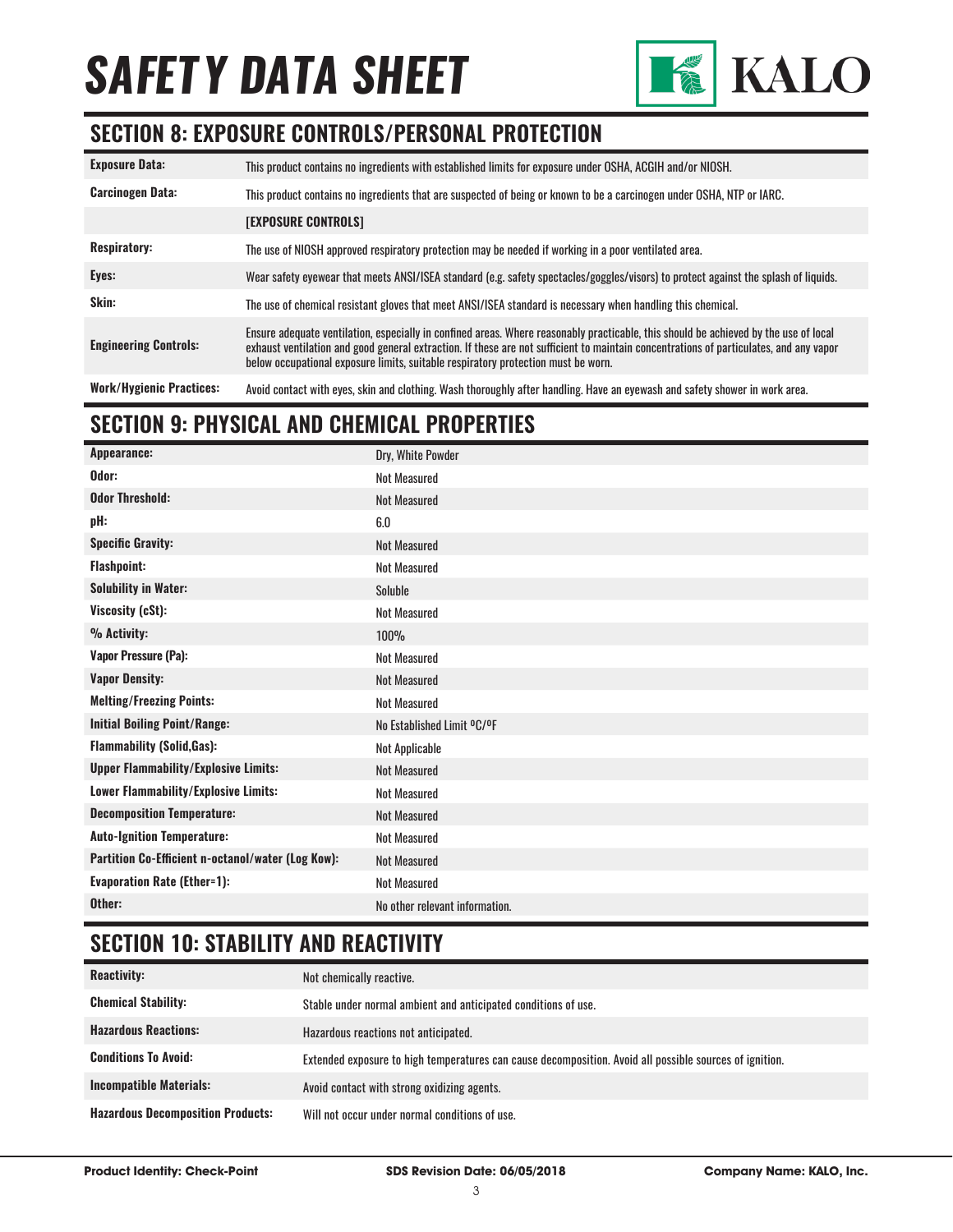

### **SECTION 8: EXPOSURE CONTROLS/PERSONAL PROTECTION**

| <b>Exposure Data:</b>           | This product contains no ingredients with established limits for exposure under OSHA, ACGIH and/or NIOSH.                                                                                                                                                                                                                                                           |
|---------------------------------|---------------------------------------------------------------------------------------------------------------------------------------------------------------------------------------------------------------------------------------------------------------------------------------------------------------------------------------------------------------------|
| <b>Carcinogen Data:</b>         | This product contains no ingredients that are suspected of being or known to be a carcinogen under OSHA, NTP or IARC.                                                                                                                                                                                                                                               |
|                                 | <b>[EXPOSURE CONTROLS]</b>                                                                                                                                                                                                                                                                                                                                          |
| <b>Respiratory:</b>             | The use of NIOSH approved respiratory protection may be needed if working in a poor ventilated area.                                                                                                                                                                                                                                                                |
| Eyes:                           | Wear safety eyewear that meets ANSI/ISEA standard (e.g. safety spectacles/goggles/visors) to protect against the splash of liquids.                                                                                                                                                                                                                                 |
| Skin:                           | The use of chemical resistant gloves that meet ANSI/ISEA standard is necessary when handling this chemical.                                                                                                                                                                                                                                                         |
| <b>Engineering Controls:</b>    | Ensure adequate ventilation, especially in confined areas. Where reasonably practicable, this should be achieved by the use of local<br>exhaust ventilation and good general extraction. If these are not sufficient to maintain concentrations of particulates, and any vapor<br>below occupational exposure limits, suitable respiratory protection must be worn. |
| <b>Work/Hygienic Practices:</b> | Avoid contact with eyes, skin and clothing. Wash thoroughly after handling. Have an eyewash and safety shower in work area.                                                                                                                                                                                                                                         |

# **SECTION 9: PHYSICAL AND CHEMICAL PROPERTIES**

# **SECTION 10: STABILITY AND REACTIVITY**

| <b>Reactivity:</b>                       | Not chemically reactive.                                                                                |
|------------------------------------------|---------------------------------------------------------------------------------------------------------|
| <b>Chemical Stability:</b>               | Stable under normal ambient and anticipated conditions of use.                                          |
| <b>Hazardous Reactions:</b>              | Hazardous reactions not anticipated.                                                                    |
| <b>Conditions To Avoid:</b>              | Extended exposure to high temperatures can cause decomposition. Avoid all possible sources of ignition. |
| <b>Incompatible Materials:</b>           | Avoid contact with strong oxidizing agents.                                                             |
| <b>Hazardous Decomposition Products:</b> | Will not occur under normal conditions of use.                                                          |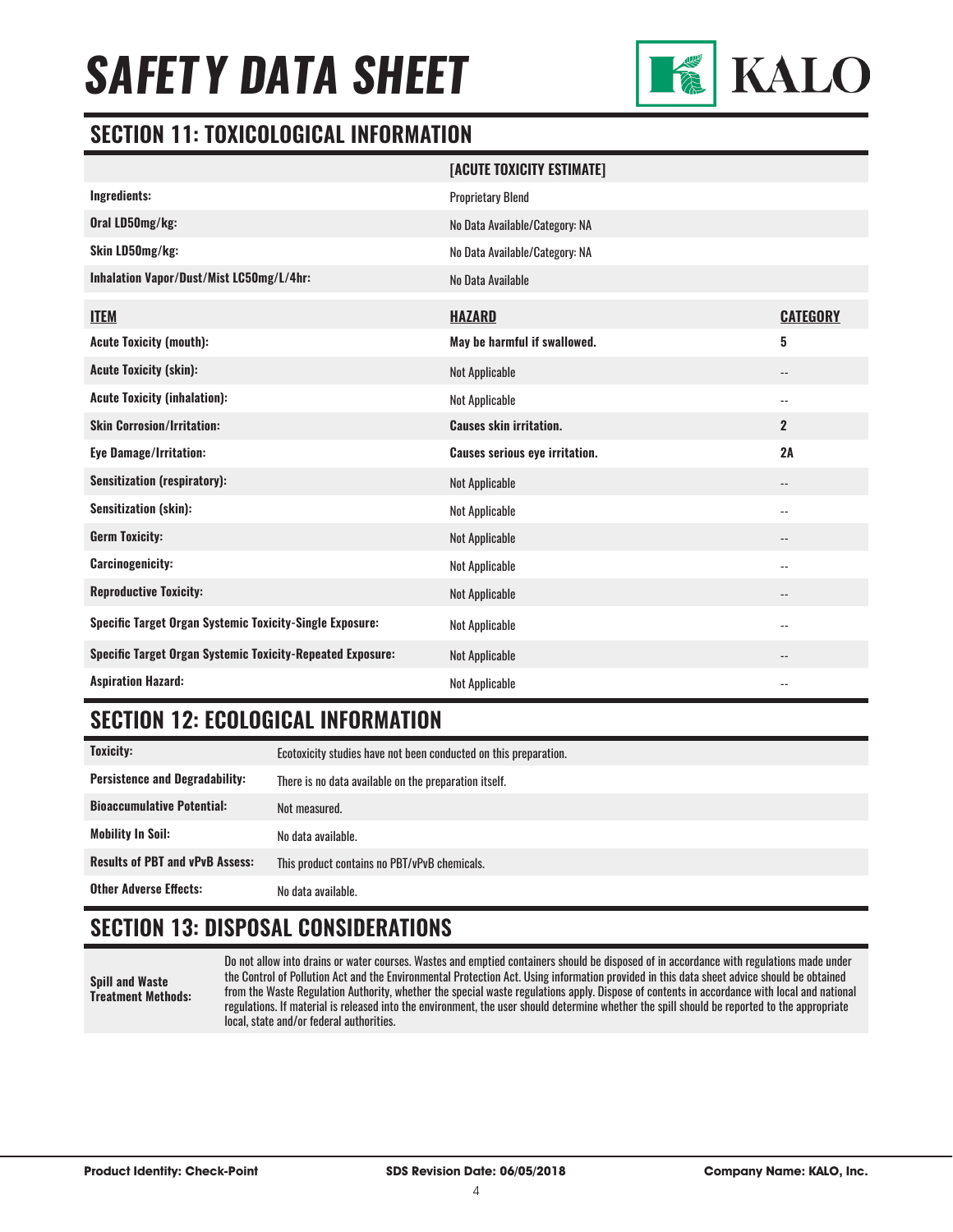

#### **SECTION 11: TOXICOLOGICAL INFORMATION**

|                                                                   | [ACUTE TOXICITY ESTIMATE]             |                            |
|-------------------------------------------------------------------|---------------------------------------|----------------------------|
| Ingredients:                                                      | <b>Proprietary Blend</b>              |                            |
| Oral LD50mg/kg:                                                   | No Data Available/Category: NA        |                            |
| Skin LD50mg/kg:                                                   | No Data Available/Category: NA        |                            |
| Inhalation Vapor/Dust/Mist LC50mg/L/4hr:                          | No Data Available                     |                            |
| <b>ITEM</b>                                                       | <b>HAZARD</b>                         | <b>CATEGORY</b>            |
| <b>Acute Toxicity (mouth):</b>                                    | May be harmful if swallowed.          | 5                          |
| <b>Acute Toxicity (skin):</b>                                     | <b>Not Applicable</b>                 | $\overline{\phantom{a}}$   |
| <b>Acute Toxicity (inhalation):</b>                               | <b>Not Applicable</b>                 | $\overline{\phantom{a}}$   |
| <b>Skin Corrosion/Irritation:</b>                                 | <b>Causes skin irritation.</b>        | $\overline{2}$             |
| Eye Damage/Irritation:                                            | <b>Causes serious eye irritation.</b> | 2A                         |
| <b>Sensitization (respiratory):</b>                               | Not Applicable                        | $\overline{\phantom{a}}$   |
| <b>Sensitization (skin):</b>                                      | <b>Not Applicable</b>                 | $\overline{\phantom{a}}$ . |
| <b>Germ Toxicity:</b>                                             | <b>Not Applicable</b>                 | $\overline{\phantom{a}}$   |
| <b>Carcinogenicity:</b>                                           | Not Applicable                        | $-$                        |
| <b>Reproductive Toxicity:</b>                                     | <b>Not Applicable</b>                 | $-$                        |
| <b>Specific Target Organ Systemic Toxicity-Single Exposure:</b>   | Not Applicable                        | $\overline{\phantom{a}}$   |
| <b>Specific Target Organ Systemic Toxicity-Repeated Exposure:</b> | <b>Not Applicable</b>                 | $\qquad \qquad -$          |
| <b>Aspiration Hazard:</b>                                         | <b>Not Applicable</b>                 | $\overline{\phantom{a}}$ . |

# **SECTION 12: ECOLOGICAL INFORMATION**

| Toxicity:                              | Ecotoxicity studies have not been conducted on this preparation. |
|----------------------------------------|------------------------------------------------------------------|
| <b>Persistence and Degradability:</b>  | There is no data available on the preparation itself.            |
| <b>Bioaccumulative Potential:</b>      | Not measured.                                                    |
| <b>Mobility In Soil:</b>               | No data available.                                               |
| <b>Results of PBT and vPvB Assess:</b> | This product contains no PBT/vPvB chemicals.                     |
| <b>Other Adverse Effects:</b>          | No data available.                                               |

# **SECTION 13: DISPOSAL CONSIDERATIONS**

**Spill and Waste Treatment Methods:**

Do not allow into drains or water courses. Wastes and emptied containers should be disposed of in accordance with regulations made under the Control of Pollution Act and the Environmental Protection Act. Using information provided in this data sheet advice should be obtained from the Waste Regulation Authority, whether the special waste regulations apply. Dispose of contents in accordance with local and national regulations. If material is released into the environment, the user should determine whether the spill should be reported to the appropriate local, state and/or federal authorities.